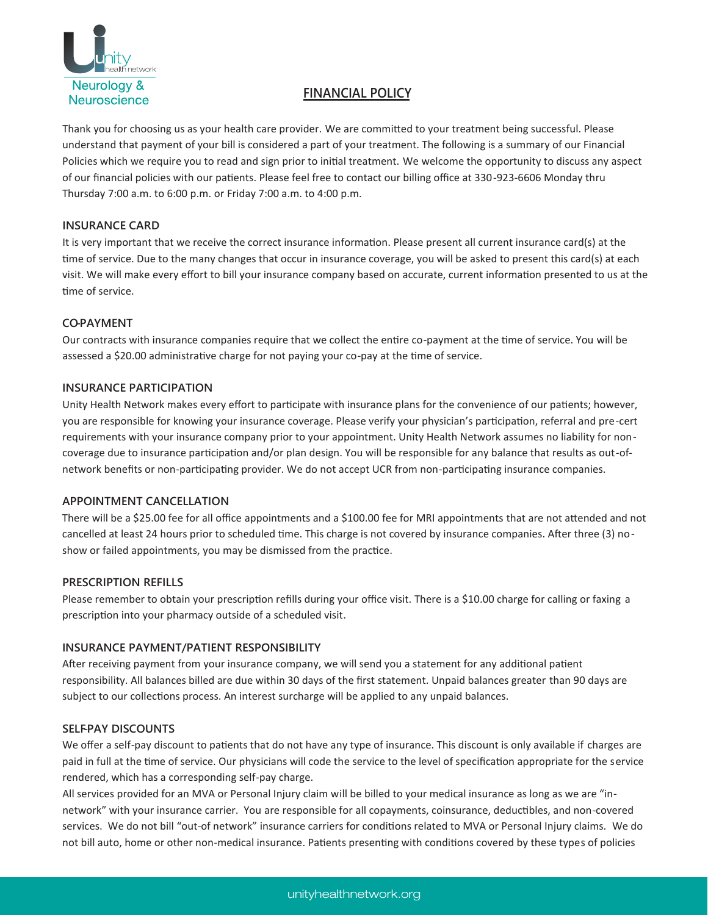

# **FINANCIAL POLICY**

Thank you for choosing us as your health care provider. We are committed to your treatment being successful. Please understand that payment of your bill is considered a part of your treatment. The following is a summary of our Financial Policies which we require you to read and sign prior to initial treatment. We welcome the opportunity to discuss any aspect of our financial policies with our patients. Please feel free to contact our billing office at 330-923-6606 Monday thru Thursday 7:00 a.m. to 6:00 p.m. or Friday 7:00 a.m. to 4:00 p.m.

# **INSURANCE CARD**

It is very important that we receive the correct insurance information. Please present all current insurance card(s) at the time of service. Due to the many changes that occur in insurance coverage, you will be asked to present this card(s) at each visit. We will make every effort to bill your insurance company based on accurate, current information presented to us at the time of service.

## **CO-PAYMENT**

Our contracts with insurance companies require that we collect the entire co-payment at the time of service. You will be assessed a \$20.00 administrative charge for not paying your co-pay at the time of service.

#### **INSURANCE PARTICIPATION**

Unity Health Network makes every effort to participate with insurance plans for the convenience of our patients; however, you are responsible for knowing your insurance coverage. Please verify your physician's participation, referral and pre-cert requirements with your insurance company prior to your appointment. Unity Health Network assumes no liability for noncoverage due to insurance participation and/or plan design. You will be responsible for any balance that results as out-ofnetwork benefits or non-participating provider. We do not accept UCR from non-participating insurance companies.

#### **APPOINTMENT CANCELLATION**

There will be a \$25.00 fee for all office appointments and a \$100.00 fee for MRI appointments that are not attended and not cancelled at least 24 hours prior to scheduled time. This charge is not covered by insurance companies. After three (3) noshow or failed appointments, you may be dismissed from the practice.

#### **PRESCRIPTION REFILLS**

Please remember to obtain your prescription refills during your office visit. There is a \$10.00 charge for calling or faxing a prescription into your pharmacy outside of a scheduled visit.

# **INSURANCE PAYMENT/PATIENT RESPONSIBILITY**

After receiving payment from your insurance company, we will send you a statement for any additional patient responsibility. All balances billed are due within 30 days of the first statement. Unpaid balances greater than 90 days are subject to our collections process. An interest surcharge will be applied to any unpaid balances.

#### **SELF-PAY DISCOUNTS**

We offer a self-pay discount to patients that do not have any type of insurance. This discount is only available if charges are paid in full at the time of service. Our physicians will code the service to the level of specification appropriate for the service rendered, which has a corresponding self-pay charge.

All services provided for an MVA or Personal Injury claim will be billed to your medical insurance as long as we are "innetwork" with your insurance carrier. You are responsible for all copayments, coinsurance, deductibles, and non-covered services. We do not bill "out-of network" insurance carriers for conditions related to MVA or Personal Injury claims. We do not bill auto, home or other non-medical insurance. Patients presenting with conditions covered by these types of policies